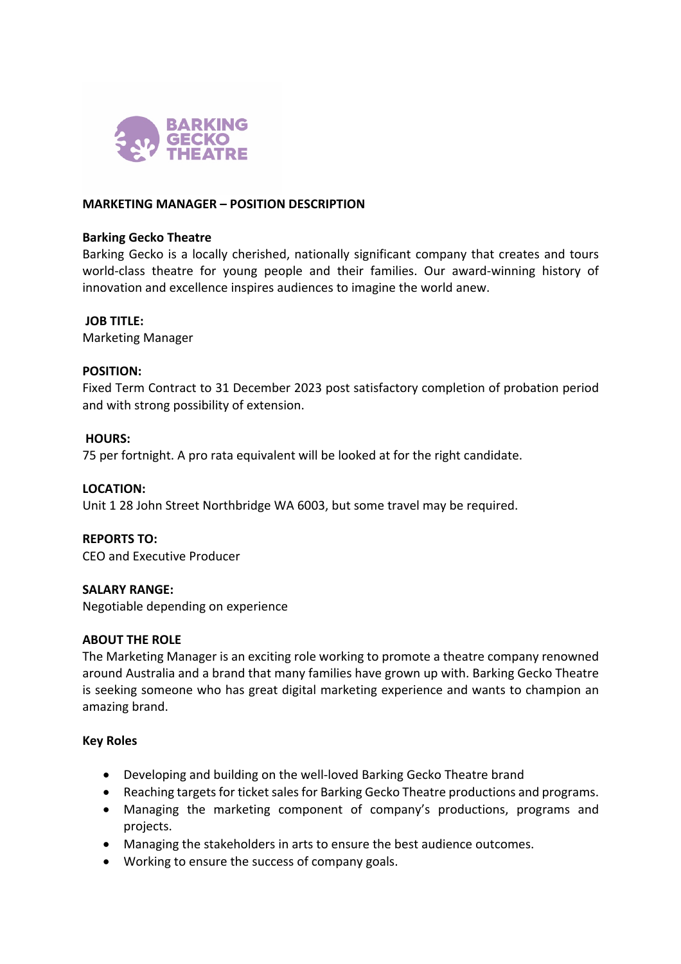

### **MARKETING MANAGER – POSITION DESCRIPTION**

#### **Barking Gecko Theatre**

Barking Gecko is a locally cherished, nationally significant company that creates and tours world-class theatre for young people and their families. Our award-winning history of innovation and excellence inspires audiences to imagine the world anew.

#### **JOB TITLE:**

Marketing Manager

### **POSITION:**

Fixed Term Contract to 31 December 2023 post satisfactory completion of probation period and with strong possibility of extension.

### **HOURS:**

75 per fortnight. A pro rata equivalent will be looked at for the right candidate.

#### **LOCATION:**

Unit 1 28 John Street Northbridge WA 6003, but some travel may be required.

## **REPORTS TO:**

CEO and Executive Producer

## **SALARY RANGE:**

Negotiable depending on experience

#### **ABOUT THE ROLE**

The Marketing Manager is an exciting role working to promote a theatre company renowned around Australia and a brand that many families have grown up with. Barking Gecko Theatre is seeking someone who has great digital marketing experience and wants to champion an amazing brand.

#### **Key Roles**

- Developing and building on the well-loved Barking Gecko Theatre brand
- Reaching targets for ticket sales for Barking Gecko Theatre productions and programs.
- Managing the marketing component of company's productions, programs and projects.
- Managing the stakeholders in arts to ensure the best audience outcomes.
- Working to ensure the success of company goals.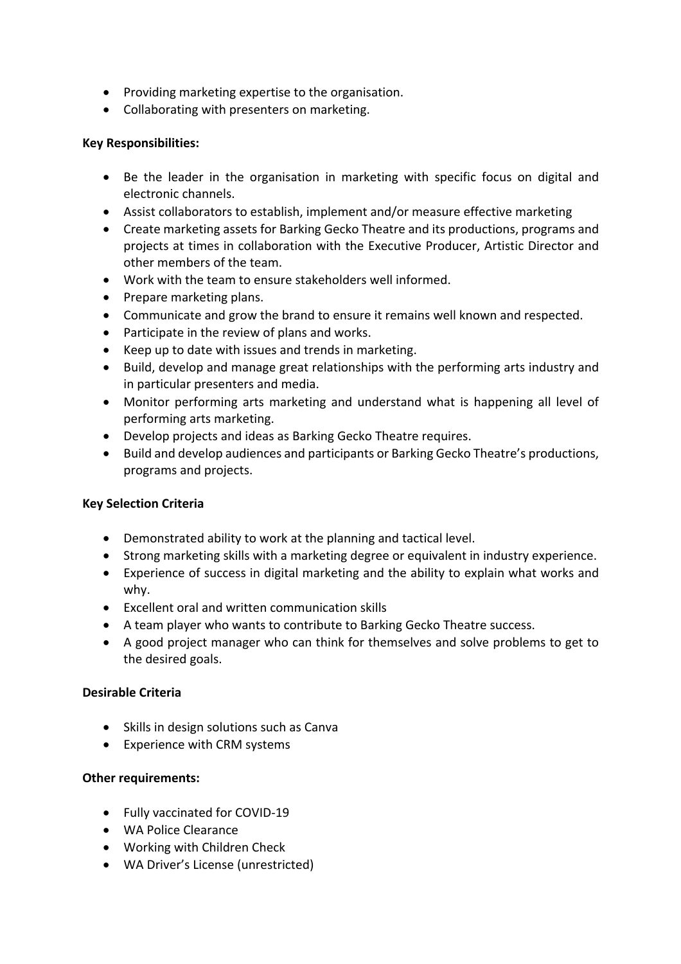- Providing marketing expertise to the organisation.
- Collaborating with presenters on marketing.

## **Key Responsibilities:**

- Be the leader in the organisation in marketing with specific focus on digital and electronic channels.
- Assist collaborators to establish, implement and/or measure effective marketing
- Create marketing assets for Barking Gecko Theatre and its productions, programs and projects at times in collaboration with the Executive Producer, Artistic Director and other members of the team.
- Work with the team to ensure stakeholders well informed.
- Prepare marketing plans.
- Communicate and grow the brand to ensure it remains well known and respected.
- Participate in the review of plans and works.
- Keep up to date with issues and trends in marketing.
- Build, develop and manage great relationships with the performing arts industry and in particular presenters and media.
- Monitor performing arts marketing and understand what is happening all level of performing arts marketing.
- Develop projects and ideas as Barking Gecko Theatre requires.
- Build and develop audiences and participants or Barking Gecko Theatre's productions, programs and projects.

# **Key Selection Criteria**

- Demonstrated ability to work at the planning and tactical level.
- Strong marketing skills with a marketing degree or equivalent in industry experience.
- Experience of success in digital marketing and the ability to explain what works and why.
- Excellent oral and written communication skills
- A team player who wants to contribute to Barking Gecko Theatre success.
- A good project manager who can think for themselves and solve problems to get to the desired goals.

# **Desirable Criteria**

- Skills in design solutions such as Canva
- Experience with CRM systems

# **Other requirements:**

- Fully vaccinated for COVID-19
- WA Police Clearance
- Working with Children Check
- WA Driver's License (unrestricted)